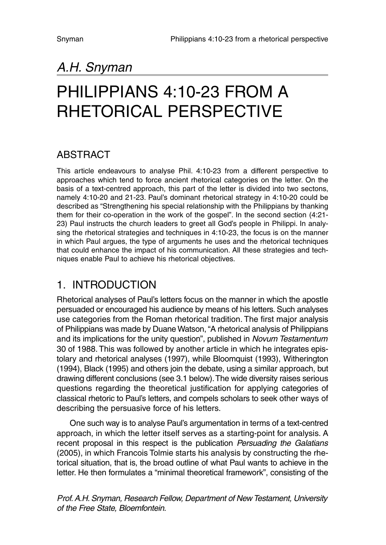## *A.H. Snyman*

# *PHILIPPIANS 4:10-23 FROM A RHETORICAL PERSPECTIVE*

### *ABSTRACT*

*This article endeavours to analyse Phil. 4:10-23 from a different perspective to approaches which tend to force ancient rhetorical categories on the letter. On the basis of a text-centred approach, this part of the letter is divided into two sectons, namely 4:10-20 and 21-23. Paul's dominant rhetorical strategy in 4:10-20 could be described as "Strengthening his special relationship with the Philippians by thanking them for their co-operation in the work of the gospel". In the second section (4:21- 23) Paul instructs the church leaders to greet all God's people in Philippi. In analysing the rhetorical strategies and techniques in 4:10-23, the focus is on the manner in which Paul argues, the type of arguments he uses and the rhetorical techniques that could enhance the impact of his communication. All these strategies and techniques enable Paul to achieve his rhetorical objectives.*

### *1. INTRODUCTION*

*Rhetorical analyses of Paul's letters focus on the manner in which the apostle persuaded or encouraged his audience by means of his letters. Such analyses use categories from the Roman rhetorical tradition. The first major analysis of Philippians was made by Duane Watson, "A rhetorical analysis of Philippians and its implications for the unity question", published in Novum Testamentum 30 of 1988. This was followed by another article in which he integrates epistolary and rhetorical analyses (1997), while Bloomquist (1993), Witherington (1994), Black (1995) and others join the debate, using a similar approach, but drawing different conclusions (see 3.1 below).The wide diversity raises serious questions regarding the theoretical justification for applying categories of classical rhetoric to Paul's letters, and compels scholars to seek other ways of describing the persuasive force of his letters.*

*One such way is to analyse Paul's argumentation in terms of a text-centred approach, in which the letter itself serves as a starting-point for analysis. A recent proposal in this respect is the publication Persuading the Galatians (2005), in which Francois Tolmie starts his analysis by constructing the rhetorical situation, that is, the broad outline of what Paul wants to achieve in the letter. He then formulates a "minimal theoretical framework", consisting of the*

*Prof. A.H. Snyman, Research Fellow, Department of New Testament, University of the Free State, Bloemfontein.*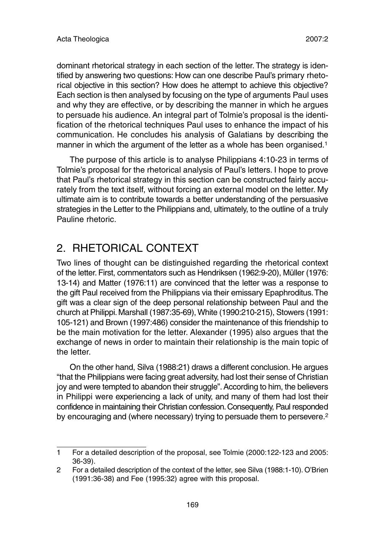dominant rhetorical strategy in each section of the letter. The strategy is identified by answering two questions: How can one describe Paul's primary rhetorical objective in this section? How does he attempt to achieve this objective? Each section is then analysed by focusing on the type of arguments Paul uses and why they are effective, or by describing the manner in which he argues to persuade his audience. An integral part of Tolmie's proposal is the identification of the rhetorical techniques Paul uses to enhance the impact of his communication. He concludes his analysis of Galatians by describing the manner in which the argument of the letter as a whole has been organised.<sup>1</sup>

The purpose of this article is to analyse Philippians 4:10-23 in terms of Tolmie's proposal for the rhetorical analysis of Paul's letters. I hope to prove that Paul's rhetorical strategy in this section can be constructed fairly accurately from the text itself, without forcing an external model on the letter. My ultimate aim is to contribute towards a better understanding of the persuasive strategies in the Letter to the Philippians and, ultimately, to the outline of a truly Pauline rhetoric.

### 2. RHETORICAL CONTEXT

Two lines of thought can be distinguished regarding the rhetorical context of the letter. First, commentators such as Hendriksen (1962:9-20), Müller (1976: 13-14) and Matter (1976:11) are convinced that the letter was a response to the gift Paul received from the Philippians via their emissary Epaphroditus.The gift was a clear sign of the deep personal relationship between Paul and the church at Philippi.Marshall (1987:35-69), White (1990:210-215), Stowers (1991: 105-121) and Brown (1997:486) consider the maintenance of this friendship to be the main motivation for the letter. Alexander (1995) also argues that the exchange of news in order to maintain their relationship is the main topic of the letter.

On the other hand, Silva (1988:21) draws a different conclusion. He argues "that the Philippians were facing great adversity, had lost their sense of Christian joy and were tempted to abandon their struggle".According to him, the believers in Philippi were experiencing a lack of unity, and many of them had lost their confidence in maintaining their Christian confession.Consequently, Paul responded by encouraging and (where necessary) trying to persuade them to persevere.<sup>2</sup>

<sup>1</sup> For a detailed description of the proposal, see Tolmie (2000:122-123 and 2005: 36-39).

<sup>2</sup> For a detailed description of the context of the letter, see Silva (1988:1-10). O'Brien (1991:36-38) and Fee (1995:32) agree with this proposal.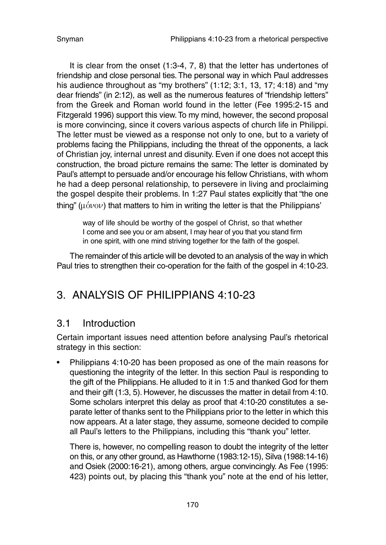It is clear from the onset (1:3-4, 7, 8) that the letter has undertones of friendship and close personal ties. The personal way in which Paul addresses his audience throughout as "my brothers" (1:12: 3:1, 13, 17: 4:18) and "my dear friends" (in 2:12), as well as the numerous features of "friendship letters" from the Greek and Roman world found in the letter (Fee 1995:2-15 and Fitzgerald 1996) support this view.To my mind, however, the second proposal is more convincing, since it covers various aspects of church life in Philippi. The letter must be viewed as a response not only to one, but to a variety of problems facing the Philippians, including the threat of the opponents, a lack of Christian joy, internal unrest and disunity. Even if one does not accept this construction, the broad picture remains the same: The letter is dominated by Paul's attempt to persuade and/or encourage his fellow Christians, with whom he had a deep personal relationship, to persevere in living and proclaiming the gospel despite their problems. In 1:27 Paul states explicitly that "the one thing"  $(u\acute{o}v\omicron v)$  that matters to him in writing the letter is that the Philippians'

way of life should be worthy of the gospel of Christ, so that whether I come and see you or am absent, I may hear of you that you stand firm in one spirit, with one mind striving together for the faith of the gospel.

The remainder of this article will be devoted to an analysis of the way in which Paul tries to strengthen their co-operation for the faith of the gospel in 4:10-23.

### 3. ANALYSIS OF PHILIPPIANS 4:10-23

### 3.1 Introduction

Certain important issues need attention before analysing Paul's rhetorical strategy in this section:

• Philippians 4:10-20 has been proposed as one of the main reasons for questioning the integrity of the letter. In this section Paul is responding to the gift of the Philippians. He alluded to it in 1:5 and thanked God for them and their gift (1:3, 5). However, he discusses the matter in detail from 4:10. Some scholars interpret this delay as proof that 4:10-20 constitutes a separate letter of thanks sent to the Philippians prior to the letter in which this now appears. At a later stage, they assume, someone decided to compile all Paul's letters to the Philippians, including this "thank you" letter.

There is, however, no compelling reason to doubt the integrity of the letter on this, or any other ground, as Hawthorne (1983:12-15), Silva (1988:14-16) and Osiek (2000:16-21), among others, argue convincingly. As Fee (1995: 423) points out, by placing this "thank you" note at the end of his letter,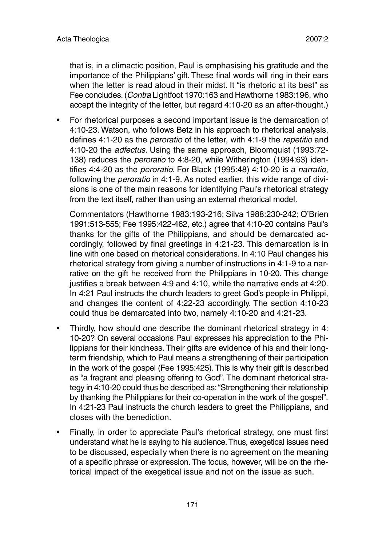that is, in a climactic position, Paul is emphasising his gratitude and the importance of the Philippians' gift. These final words will ring in their ears when the letter is read aloud in their midst. It "is rhetoric at its best" as Fee concludes. (Contra Lightfoot 1970:163 and Hawthorne 1983:196, who accept the integrity of the letter, but regard 4:10-20 as an after-thought.)

• For rhetorical purposes a second important issue is the demarcation of 4:10-23. Watson, who follows Betz in his approach to rhetorical analysis, defines 4:1-20 as the peroratio of the letter, with 4:1-9 the repetitio and 4:10-20 the adfectus. Using the same approach, Bloomquist (1993:72- 138) reduces the peroratio to 4:8-20, while Witherington (1994:63) identifies 4:4-20 as the peroratio. For Black (1995:48) 4:10-20 is a narratio, following the peroratio in 4:1-9. As noted earlier, this wide range of divisions is one of the main reasons for identifying Paul's rhetorical strategy from the text itself, rather than using an external rhetorical model.

Commentators (Hawthorne 1983:193-216; Silva 1988:230-242; O'Brien 1991:513-555; Fee 1995:422-462, etc.) agree that 4:10-20 contains Paul's thanks for the gifts of the Philippians, and should be demarcated accordingly, followed by final greetings in 4:21-23. This demarcation is in line with one based on rhetorical considerations. In 4:10 Paul changes his rhetorical strategy from giving a number of instructions in 4:1-9 to a narrative on the gift he received from the Philippians in 10-20. This change justifies a break between 4:9 and 4:10, while the narrative ends at 4:20. In 4:21 Paul instructs the church leaders to greet God's people in Philippi, and changes the content of 4:22-23 accordingly. The section 4:10-23 could thus be demarcated into two, namely 4:10-20 and 4:21-23.

- Thirdly, how should one describe the dominant rhetorical strategy in 4: 10-20? On several occasions Paul expresses his appreciation to the Philippians for their kindness. Their gifts are evidence of his and their longterm friendship, which to Paul means a strengthening of their participation in the work of the gospel (Fee 1995:425).This is why their gift is described as "a fragrant and pleasing offering to God". The dominant rhetorical strategy in 4:10-20 could thus be described as:"Strengthening their relationship by thanking the Philippians for their co-operation in the work of the gospel". In 4:21-23 Paul instructs the church leaders to greet the Philippians, and closes with the benediction.
- Finally, in order to appreciate Paul's rhetorical strategy, one must first understand what he is saying to his audience.Thus, exegetical issues need to be discussed, especially when there is no agreement on the meaning of a specific phrase or expression. The focus, however, will be on the rhetorical impact of the exegetical issue and not on the issue as such.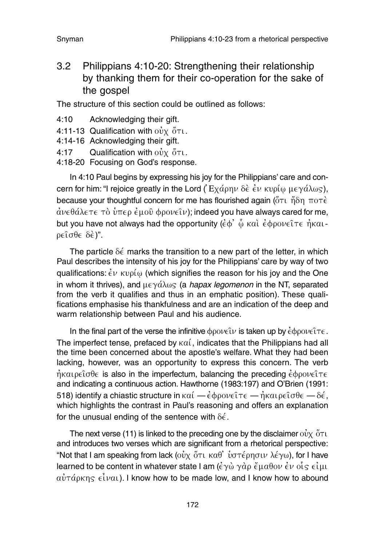3.2 Philippians 4:10-20: Strengthening their relationship by thanking them for their co-operation for the sake of the gospel

The structure of this section could be outlined as follows:

- 4:10 Acknowledging their gift.
- 4:11-13 Qualification with  $\omega v \propto \tilde{\sigma} \tau$ u.
- 4:14-16 Acknowledging their gift.
- 4:17 Qualification with  $\omega$ <sup>*i*</sup>  $\chi$   $\delta$ <sup> $\tau$ </sup>  $\tau$ .
- 4:18-20 Focusing on God's response.

In 4:10 Paul begins by expressing his joy for the Philippians' care and concern for him: "I rejoice greatly in the Lord ( Eca j rhn de v e; n kuri j wv mega / lw~ v ), because your thoughtful concern for me has flourished again ( $\delta\tau$ )  $\tilde{n}\delta\eta$   $\pi$ o $\tau\dot{\epsilon}$  $\dot{\alpha}$ νεθάλετε τὸ ὑπερ ἐμοῦ φρονεῖν); indeed you have always cared for me, but you have not always had the opportunity  $(\dot{\epsilon}\phi')\hat{\omega}$  kai;  $\dot{\epsilon}\phi$  $\rho_0\nu\epsilon\hat{\iota}\tau\epsilon\hat{\eta}$ kai- $\rho \in \hat{\Omega} \sigma \theta \in \delta \hat{\epsilon}$ ".

The particle  $\delta \epsilon$  marks the transition to a new part of the letter, in which Paul describes the intensity of his joy for the Philippians' care by way of two qualifications:  $\dot{\epsilon} \nu$   $\kappa \nu \rho \dot{\mu} \omega$  (which signifies the reason for his joy and the One in whom it thrives), and  $\mu \in \gamma \acute{\alpha} \lambda \omega_S$  (a hapax legomenon in the NT, separated from the verb it qualifies and thus in an emphatic position). These qualifications emphasise his thankfulness and are an indication of the deep and warm relationship between Paul and his audience.

In the final part of the verse the infinitive  $\phi\rho\circ\nu\in\mathcal{W}$  is taken up by  $\dot{\epsilon}\phi\rho\circ\nu\in\mathcal{W}$ . The imperfect tense, prefaced by  $\kappa a$ , indicates that the Philippians had all the time been concerned about the apostle's welfare. What they had been lacking, however, was an opportunity to express this concern. The verb  $\eta$ kaipeto $\theta$ e is also in the imperfectum, balancing the preceding  $\dot{\epsilon}$ φρονείτε and indicating a continuous action. Hawthorne (1983:197) and O'Brien (1991: 518) identify a chiastic structure in  $\kappa a\ell - \dot{\epsilon} \varphi \rho \circ \nu \in \ell \tau \epsilon - \dot{\eta} \kappa a \iota \rho \epsilon \hat{\nu} \sigma \theta \epsilon - \delta \dot{\epsilon}$ , which highlights the contrast in Paul's reasoning and offers an explanation for the unusual ending of the sentence with  $\delta \epsilon$ .

The next verse (11) is linked to the preceding one by the disclaimer  $\vec{ov}_X \, \delta \tau \vec{v}$ and introduces two verses which are significant from a rhetorical perspective: "Not that I am speaking from lack (οὐχ ὅτι καθ' ὑστέρησιν λέγω), for I have learned to be content in whatever state I am  $(\dot{\epsilon}\gamma\dot{\omega} \gamma \dot{\alpha})\rho \ddot{\epsilon}\mu \alpha \theta_0 \nu \dot{\epsilon} \nu \dot{\beta} \dot{\varsigma} \epsilon \dot{\iota} \mu \nu$  $a\dot{v}$   $\tau$   $\acute{\alpha}$   $\mu$   $\alpha$   $\beta$ ). I know how to be made low, and I know how to abound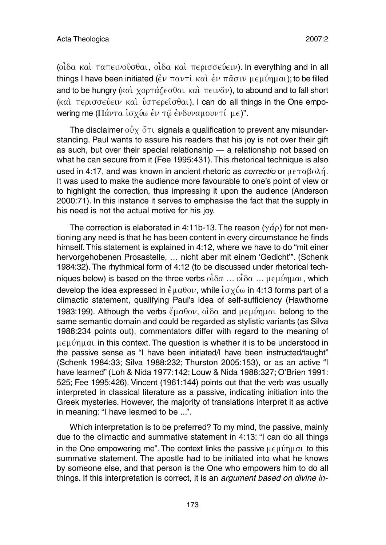$($ οι δα και ταπεινουσθαι, οι δα και περισσεύειν). In everything and in all things I have been initiated ( $\epsilon \nu \pi a \nu \tau$ )  $\kappa a$ )  $\epsilon \nu \pi \hat{a} \sigma \nu \mu \epsilon \mu \hat{v} \eta \mu a$ ); to be filled and to be hungry (καὶ χορτάζεσθαι καὶ πειν $\hat{a}$ ν), to abound and to fall short (και περισσεύειν και υστερείσθαι). I can do all things in the One empowering me (Πάντα ισχύω έν τῶ ἐνδυναμουντί με)".

The disclaimer  $\vec{v}$   $\vec{v}$   $\vec{v}$  or signals a qualification to prevent any misunderstanding. Paul wants to assure his readers that his joy is not over their gift as such, but over their special relationship — a relationship not based on what he can secure from it (Fee 1995:431). This rhetorical technique is also used in 4:17, and was known in ancient rhetoric as *correctio* or  $\mu \in \pi \alpha \beta o \lambda \eta$ . It was used to make the audience more favourable to one's point of view or to highlight the correction, thus impressing it upon the audience (Anderson 2000:71). In this instance it serves to emphasise the fact that the supply in his need is not the actual motive for his joy.

The correction is elaborated in 4:11b-13. The reason ( $\gamma \dot{\alpha} \rho$ ) for not mentioning any need is that he has been content in every circumstance he finds himself. This statement is explained in 4:12, where we have to do "mit einer hervorgehobenen Prosastelle, … nicht aber mit einem 'Gedicht'". (Schenk 1984:32). The rhythmical form of 4:12 (to be discussed under rhetorical techniques below) is based on the three verbs  $\partial_{\alpha} \partial_{\alpha}$  …  $\partial_{\alpha} \partial_{\alpha}$  …  $\mu \in \mu$   $\psi$   $\eta$   $\mu$   $\alpha$ , which develop the idea expressed in  $\tilde{\epsilon} \mu \alpha \theta \mathrm{O} \nu$ , while  $\tilde{\epsilon} \sigma \chi \tilde{\nu} \omega$  in 4:13 forms part of a climactic statement, qualifying Paul's idea of self-sufficiency (Hawthorne 1983:199). Although the verbs  $\tilde{\epsilon} \mu \alpha \theta \text{ov}$ ,  $\alpha \tilde{\iota} \delta \alpha$  and  $\mu \epsilon \mu \tilde{\iota} \eta \mu \alpha \iota$  belong to the same semantic domain and could be regarded as stylistic variants (as Silva 1988:234 points out), commentators differ with regard to the meaning of  $\mu \in \mu$  in this context. The question is whether it is to be understood in the passive sense as "I have been initiated/I have been instructed/taught" (Schenk 1984:33; Silva 1988:232; Thurston 2005:153), or as an active "I have learned" (Loh & Nida 1977:142; Louw & Nida 1988:327; O'Brien 1991: 525; Fee 1995:426). Vincent (1961:144) points out that the verb was usually interpreted in classical literature as a passive, indicating initiation into the Greek mysteries. However, the majority of translations interpret it as active in meaning: "I have learned to be ...".

Which interpretation is to be preferred? To my mind, the passive, mainly due to the climactic and summative statement in 4:13: "I can do all things in the One empowering me". The context links the passive  $\mu \in \mu$  in this summative statement. The apostle had to be initiated into what he knows by someone else, and that person is the One who empowers him to do all things. If this interpretation is correct, it is an argument based on divine in-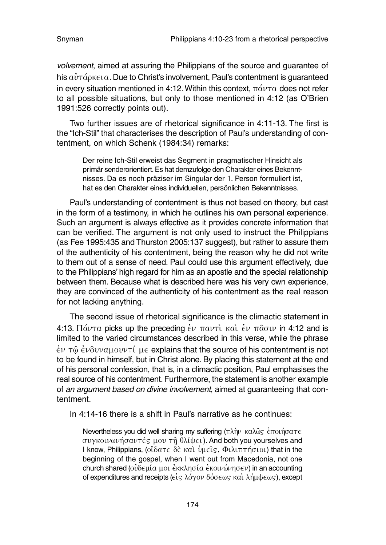volvement, aimed at assuring the Philippians of the source and guarantee of his  $\alpha\dot{v}$   $\tau\acute{a}$   $\alpha$   $\alpha$ . Due to Christ's involvement, Paul's contentment is guaranteed in every situation mentioned in 4:12. Within this context,  $\pi \acute{a} \nu \tau \alpha$  does not refer to all possible situations, but only to those mentioned in 4:12 (as O'Brien 1991:526 correctly points out).

Two further issues are of rhetorical significance in 4:11-13. The first is the "Ich-Stil" that characterises the description of Paul's understanding of contentment, on which Schenk (1984:34) remarks:

Der reine Ich-Stil erweist das Segment in pragmatischer Hinsicht als primär senderorientiert.Es hat demzufolge den Charakter eines Bekenntnisses. Da es noch präziser im Singular der 1. Person formuliert ist, hat es den Charakter eines individuellen, persönlichen Bekenntnisses.

Paul's understanding of contentment is thus not based on theory, but cast in the form of a testimony, in which he outlines his own personal experience. Such an argument is always effective as it provides concrete information that can be verified. The argument is not only used to instruct the Philippians (as Fee 1995:435 and Thurston 2005:137 suggest), but rather to assure them of the authenticity of his contentment, being the reason why he did not write to them out of a sense of need. Paul could use this argument effectively, due to the Philippians' high regard for him as an apostle and the special relationship between them. Because what is described here was his very own experience, they are convinced of the authenticity of his contentment as the real reason for not lacking anything.

The second issue of rhetorical significance is the climactic statement in 4:13.  $\Pi$ άντα picks up the preceding  $\epsilon$ ν παντί και  $\epsilon$ ν πασιν in 4:12 and is limited to the varied circumstances described in this verse, while the phrase  $\dot{\epsilon}$ ν τω $\dot{\epsilon}$ νδυναμουντί με explains that the source of his contentment is not to be found in himself, but in Christ alone. By placing this statement at the end of his personal confession, that is, in a climactic position, Paul emphasises the real source of his contentment. Furthermore, the statement is another example of an argument based on divine involvement, aimed at guaranteeing that contentment.

In 4:14-16 there is a shift in Paul's narrative as he continues:

Nevertheless you did well sharing my suffering  $(\pi \lambda \hat{n} \nu \kappa \alpha \lambda \hat{\omega} \varsigma \hat{\epsilon} \pi \sigma \iota \eta \sigma \alpha \tau \epsilon$ συγκοινωνήσαντές μου τη θλίψει). And both you yourselves and I know, Philippians, (οίδατε δε και υμείς, Φιλιππήσιοι) that in the beginning of the gospel, when I went out from Macedonia, not one church shared (ουδεμία μοι έκκλησία έκοινώνησεν) in an accounting of expenditures and receipts ( $\epsilon \dot{\epsilon}$ ς λόγον δόσεως και λήμψεως), except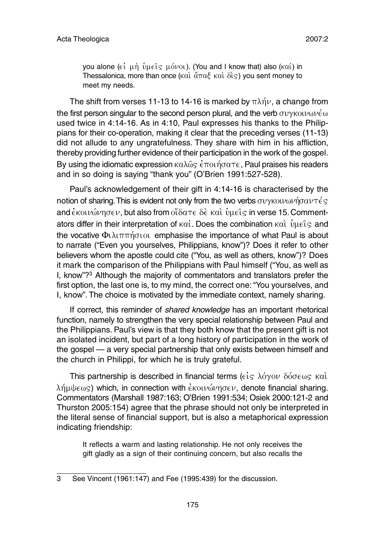you alone (εί μη  $\hat{v}$ μείς μόνοι). (You and I know that) also (καί) in Thessalonica, more than once ( $k\alpha$ )  $\alpha$   $\alpha$   $\beta$   $\alpha$ )  $\beta$   $\alpha$ ) you sent money to meet my needs.

The shift from verses 11-13 to 14-16 is marked by  $\pi\lambda n\mu$ , a change from the first person singular to the second person plural, and the verb  $\sigma$ vykouv $\omega\nu\epsilon\omega$ used twice in 4:14-16. As in 4:10, Paul expresses his thanks to the Philippians for their co-operation, making it clear that the preceding verses (11-13) did not allude to any ungratefulness. They share with him in his affliction, thereby providing further evidence of their participation in the work of the gospel. By using the idiomatic expression  $\kappa a\lambda\hat{\omega}\varsigma \, \hat{\epsilon} \pi$  out of  $\tau \epsilon$ . Paul praises his readers and in so doing is saying "thank you" (O'Brien 1991:527-528).

Paul's acknowledgement of their gift in 4:14-16 is characterised by the notion of sharing. This is evident not only from the two verbs  $\sigma$ vykouvwnpantes and  $\epsilon$ κοινώνησεν, but also from οίδατε δε και ύμεις in verse 15. Commentators differ in their interpretation of  $\kappa \alpha'$ . Does the combination  $\kappa \alpha'$   $\hat{\nu} \mu \in \hat{\mathfrak{c}}$  and the vocative  $\Phi_l\lambda_l\pi\pi\eta\sigma_l\sigma_l$  emphasise the importance of what Paul is about to narrate ("Even you yourselves, Philippians, know")? Does it refer to other believers whom the apostle could cite ("You, as well as others, know")? Does it mark the comparison of the Philippians with Paul himself ("You, as well as I, know"?3 Although the majority of commentators and translators prefer the first option, the last one is, to my mind, the correct one: "You yourselves, and I, know". The choice is motivated by the immediate context, namely sharing.

If correct, this reminder of shared knowledge has an important rhetorical function, namely to strengthen the very special relationship between Paul and the Philippians. Paul's view is that they both know that the present gift is not an isolated incident, but part of a long history of participation in the work of the gospel — a very special partnership that only exists between himself and the church in Philippi, for which he is truly grateful.

This partnership is described in financial terms ( $\epsilon \dot{\epsilon}$   $\zeta$   $\delta \gamma$ ov  $\delta \dot{\sigma} \epsilon \omega$   $\eta$   $\kappa \alpha \dot{\iota}$  $\lambda$ n $\mu\psi\epsilon\omega$ s) which, in connection with  $\dot{\epsilon}$  *KOLV* $\omega$  $\eta$  $\sigma\epsilon\nu$ , denote financial sharing. Commentators (Marshall 1987:163; O'Brien 1991:534; Osiek 2000:121-2 and Thurston 2005:154) agree that the phrase should not only be interpreted in the literal sense of financial support, but is also a metaphorical expression indicating friendship:

It reflects a warm and lasting relationship. He not only receives the gift gladly as a sign of their continuing concern, but also recalls the

<sup>3</sup> See Vincent (1961:147) and Fee (1995:439) for the discussion.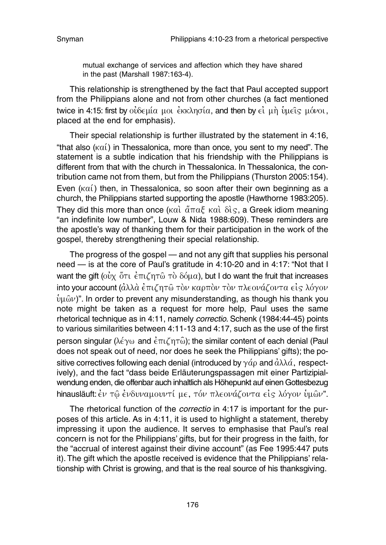mutual exchange of services and affection which they have shared in the past (Marshall 1987:163-4).

This relationship is strengthened by the fact that Paul accepted support from the Philippians alone and not from other churches (a fact mentioned twice in 4:15: first by οὐδεμία μοι ἐκκλησία, and then by εἰ μὴ ὑμεῖς μόνοι. placed at the end for emphasis).

Their special relationship is further illustrated by the statement in 4:16, "that also  $(\kappa \alpha')$  in Thessalonica, more than once, you sent to my need". The statement is a subtle indication that his friendship with the Philippians is different from that with the church in Thessalonica. In Thessalonica, the contribution came not from them, but from the Philippians (Thurston 2005:154). Even  $(\kappa \alpha)$  then, in Thessalonica, so soon after their own beginning as a church, the Philippians started supporting the apostle (Hawthorne 1983:205). They did this more than once ( $k\alpha i$ ;  $\tilde{a}\pi\alpha \xi$ ; kai;  $\delta i$ ; a Greek idiom meaning "an indefinite low number", Louw & Nida 1988:609). These reminders are the apostle's way of thanking them for their participation in the work of the gospel, thereby strengthening their special relationship.

The progress of the gospel — and not any gift that supplies his personal need — is at the core of Paul's gratitude in 4:10-20 and in 4:17: "Not that I want the gift ( $\vec{ov}$   $\vec{v}$   $\tau$ )  $\vec{\epsilon}$   $\pi$  $\vec{\epsilon}$   $\pi$  $\vec{\omega}$   $\tau$  $\vec{\omega}$   $\vec{\epsilon}$   $\vec{\omega}$   $\alpha$ ), but I do want the fruit that increases into your account  $(\dot{\alpha}\lambda\lambda\dot{\alpha} \dot{\epsilon} \pi\iota\zeta \eta\tau\hat{\omega} \tau\dot{\delta}\nu$  καρπολυ τον πλεονάζοντα είς λόγον  $\hat{v} \mu \hat{\omega} \nu$ ". In order to prevent any misunderstanding, as though his thank you note might be taken as a request for more help, Paul uses the same rhetorical technique as in 4:11, namely correctio. Schenk (1984:44-45) points to various similarities between 4:11-13 and 4:17, such as the use of the first person singular ( $\lambda \notin \gamma \omega$  and  $\hat{\epsilon} \pi \iota \zeta \eta \tau \hat{\omega}$ ); the similar content of each denial (Paul does not speak out of need, nor does he seek the Philippians' gifts); the positive correctives following each denial (introduced by  $\gamma d\rho$  and  $\dot{d}\lambda\lambda\dot{\alpha}$ , respectively), and the fact "dass beide Erläuterungspassagen mit einer Partizipialwendung enden, die offenbar auch inhaltlich als Höhepunkt auf einen Gottesbezug hinausläuft: έν τῶ ἐνδυναμουντί με, τόν πλεονάζοντα είς λόγον ὑμῶν".

The rhetorical function of the *correctio* in 4:17 is important for the purposes of this article. As in 4:11, it is used to highlight a statement, thereby impressing it upon the audience. It serves to emphasise that Paul's real concern is not for the Philippians' gifts, but for their progress in the faith, for the "accrual of interest against their divine account" (as Fee 1995:447 puts it). The gift which the apostle received is evidence that the Philippians' relationship with Christ is growing, and that is the real source of his thanksgiving.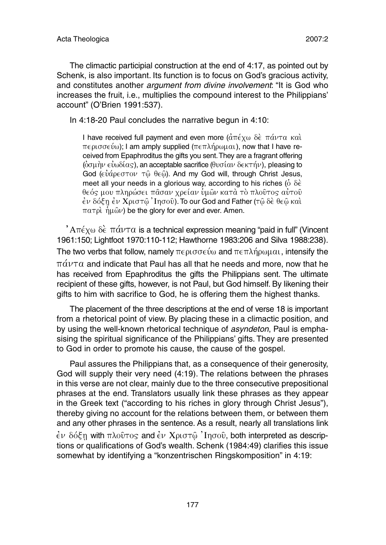The climactic participial construction at the end of 4:17, as pointed out by Schenk, is also important. Its function is to focus on God's gracious activity, and constitutes another *argument from divine involvement*: "It is God who increases the fruit, i.e., multiplies the compound interest to the Philippians' account" (O'Brien 1991:537).

In 4:18-20 Paul concludes the narrative begun in 4:10:

I have received full payment and even more  $(\hat{a}\pi \hat{\epsilon} \chi \omega) \hat{\delta} \hat{\epsilon} \pi \hat{a} \nu \tau \alpha$  kal  $\pi \in \rho$  ( $\sigma \in \mathcal{W}$ ); I am amply supplied ( $\pi \in \pi \lambda$ ήρωμαι), now that I have received from Epaphroditus the gifts you sent.They are a fragrant offering  $\langle \hat{\omega}$  ( $\hat{\omega}$ ), an acceptable sacrifice ( $\theta$  $\omega$  $\hat{\alpha}$  $\omega$   $\hat{\delta}$  $\epsilon$  $\kappa$  $\tau$  $\hat{\alpha}$  $\nu$ ), pleasing to God ( $\epsilon \dot{\nu}$ άρεστον τῶ θεῶ). And my God will, through Christ Jesus, meet all your needs in a glorious way, according to his riches ( $\dot{\text{o}}$   $\delta \dot{\epsilon}$ ) θεός μου πληρώσει πασαν χρείαν ύμων κατα το πλούτος αυτου  $\dot{\epsilon}$ ν δόξη  $\dot{\epsilon}$ ν Χριστ $\hat{\omega}$  ' Ιησού). To our God and Father (τ $\hat{\omega}$  δε θε $\hat{\omega}$  και  $\pi a \tau \rho$  i  $\hat{\eta} \mu \hat{\omega} \nu$  be the glory for ever and ever. Amen.

 $i$ A $\pi$  $\epsilon$ <sub>X</sub> $\omega$   $\delta$  $\epsilon$   $\pi$  $\alpha$ *v* $\tau$  $\alpha$  is a technical expression meaning "paid in full" (Vincent 1961:150; Lightfoot 1970:110-112; Hawthorne 1983:206 and Silva 1988:238). The two verbs that follow, namely  $\pi \epsilon \rho \sigma \sigma \epsilon \nu \omega$  and  $\pi \epsilon \pi \lambda \eta \rho \omega \mu \alpha \nu$ , intensify the  $\pi\acute{\alpha}\nu\tau\alpha$  and indicate that Paul has all that he needs and more, now that he has received from Epaphroditus the gifts the Philippians sent. The ultimate recipient of these gifts, however, is not Paul, but God himself. By likening their gifts to him with sacrifice to God, he is offering them the highest thanks.

The placement of the three descriptions at the end of verse 18 is important from a rhetorical point of view. By placing these in a climactic position, and by using the well-known rhetorical technique of *asyndeton*, Paul is emphasising the spiritual significance of the Philippians' gifts. They are presented to God in order to promote his cause, the cause of the gospel.

Paul assures the Philippians that, as a consequence of their generosity, God will supply their very need (4:19). The relations between the phrases in this verse are not clear, mainly due to the three consecutive prepositional phrases at the end. Translators usually link these phrases as they appear in the Greek text ("according to his riches in glory through Christ Jesus"), thereby giving no account for the relations between them, or between them and any other phrases in the sentence. As a result, nearly all translations link  $\dot{\epsilon}$ ν δόξη with πλοῦτος and  $\dot{\epsilon}$ ν Χριστῷ ' Ιησοῦ, both interpreted as descriptions or qualifications of God's wealth. Schenk (1984:49) clarifies this issue somewhat by identifying a "konzentrischen Ringskomposition" in 4:19: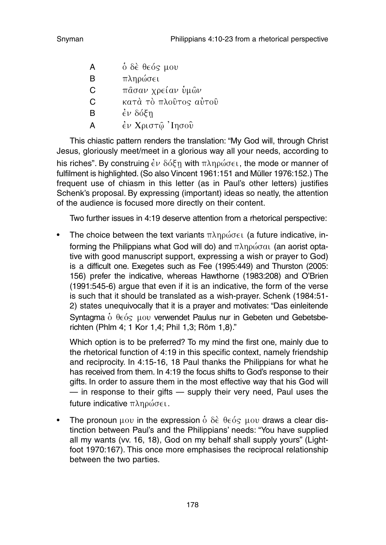| А | ὃ δὲ θεός μου         |
|---|-----------------------|
| в | πληρώσει              |
| С | πάσαν χρείαν ὑμῶν     |
| C | κατά τὸ πλοῦτος αὐτοῦ |
| в | έν δόξη               |
| Α | έν Χριστῷ 'Ιησοῦ      |

This chiastic pattern renders the translation: "My God will, through Christ Jesus, gloriously meet/meet in a glorious way all your needs, according to his riches". By construing  $\dot{\epsilon}v$   $\delta \dot{\delta} \xi$  with  $\pi \lambda \eta \rho \dot{\omega} \sigma \epsilon \iota$ , the mode or manner of fulfilment is highlighted. (So also Vincent 1961:151 and Müller 1976:152.) The frequent use of chiasm in this letter (as in Paul's other letters) justifies Schenk's proposal. By expressing (important) ideas so neatly, the attention of the audience is focused more directly on their content.

Two further issues in 4:19 deserve attention from a rhetorical perspective:

• The choice between the text variants  $\pi \lambda \eta \rho \omega \sigma \epsilon \iota$  (a future indicative, informing the Philippians what God will do) and  $\pi\lambda n \omega \omega \alpha$  (an aorist optative with good manuscript support, expressing a wish or prayer to God) is a difficult one. Exegetes such as Fee (1995:449) and Thurston (2005: 156) prefer the indicative, whereas Hawthorne (1983:208) and O'Brien (1991:545-6) argue that even if it is an indicative, the form of the verse is such that it should be translated as a wish-prayer. Schenk (1984:51- 2) states unequivocally that it is a prayer and motivates: "Das einleitende Syntagma  $\dot{\text{o}}$   $\theta \in \dot{\text{o}}$   $\text{cov}$  verwendet Paulus nur in Gebeten und Gebetsberichten (Phlm 4; 1 Kor 1,4; Phil 1,3; Röm 1,8)."

Which option is to be preferred? To my mind the first one, mainly due to the rhetorical function of 4:19 in this specific context, namely friendship and reciprocity. In 4:15-16, 18 Paul thanks the Philippians for what he has received from them. In 4:19 the focus shifts to God's response to their gifts. In order to assure them in the most effective way that his God will — in response to their gifts — supply their very need, Paul uses the future indicative  $\pi \lambda \eta \rho \omega \sigma \epsilon \iota$ .

• The pronoun  $\mu$ ov in the expression  $\dot{\delta}$   $\delta \dot{\epsilon}$   $\theta \in \delta$   $\epsilon$   $\mu$ ov draws a clear distinction between Paul's and the Philippians' needs: "You have supplied all my wants (vv. 16, 18), God on my behalf shall supply yours" (Lightfoot 1970:167). This once more emphasises the reciprocal relationship between the two parties.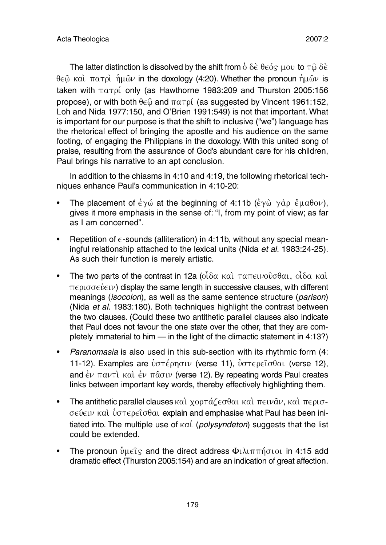The latter distinction is dissolved by the shift from  $\dot{\mathrm{o}}$   $\delta \mathrm{\dot{\mathrm{e}}}$   $\theta \mathrm{\dot{\mathrm{e}}}$   $\delta \mathrm{\dot{\mathrm{e}}}$   $\mathrm{u}$  av to  $\tau \hat{\mathrm{o}}$   $\delta \mathrm{\dot{\mathrm{e}}}$  $\theta \in \hat{\omega}$  καὶ πατρὶ ἡμῶν in the doxology (4:20). Whether the pronoun ἡμῶν is taken with  $\pi \alpha \tau \rho i$  only (as Hawthorne 1983:209 and Thurston 2005:156 propose), or with both  $\theta \in \hat{\omega}$  and  $\pi \alpha \tau \rho$  (as suggested by Vincent 1961:152, Loh and Nida 1977:150, and O'Brien 1991:549) is not that important. What is important for our purpose is that the shift to inclusive ("we") language has the rhetorical effect of bringing the apostle and his audience on the same footing, of engaging the Philippians in the doxology. With this united song of praise, resulting from the assurance of God's abundant care for his children, Paul brings his narrative to an apt conclusion.

In addition to the chiasms in 4:10 and 4:19, the following rhetorical techniques enhance Paul's communication in 4:10-20:

- The placement of  $\epsilon \gamma \omega$  at the beginning of 4:11b  $(\epsilon \gamma \omega \gamma \alpha \rho \epsilon \mu \alpha \theta o \nu)$ , gives it more emphasis in the sense of: "I, from my point of view; as far as I am concerned".
- Repetition of  $\epsilon$ -sounds (alliteration) in 4:11b, without any special meaningful relationship attached to the lexical units (Nida et al. 1983:24-25). As such their function is merely artistic.
- The two parts of the contrast in 12a ( $\alpha$ i)  $\alpha$  kai  $\tau \alpha \pi \in V$   $\alpha$   $\alpha$  i da kai  $\alpha$  $\pi \epsilon \rho \sigma \sigma \epsilon \nu$  ) display the same length in successive clauses, with different meanings *(isocolon)*, as well as the same sentence structure *(parison)* (Nida et al. 1983:180). Both techniques highlight the contrast between the two clauses. (Could these two antithetic parallel clauses also indicate that Paul does not favour the one state over the other, that they are completely immaterial to him — in the light of the climactic statement in 4:13?)
- Paranomasia is also used in this sub-section with its rhythmic form (4: 11-12). Examples are υστέρησιν (verse 11), υστερείσθαι (verse 12), and  $\dot{\epsilon}$ ν παντὶ καὶ  $\dot{\epsilon}$ ν π $\hat{a}$ σιν (verse 12). By repeating words Paul creates links between important key words, thereby effectively highlighting them.
- The antithetic parallel clauses  $\kappa a$   $\chi$ ορτάζεσθαι και πειν $\hat{a}$ ν, και περισ- $\sigma \in \hat{\mathcal{C}}$   $\forall$   $\alpha$   $\forall$   $\alpha$   $\forall$   $\alpha$   $\in$   $\alpha$   $\beta$   $\alpha$   $\alpha$  explain and emphasise what Paul has been initiated into. The multiple use of  $\kappa \alpha'$  (polysyndeton) suggests that the list could be extended.
- The pronoun  $\hat{v}u\in \hat{I}$  and the direct address  $\Phi$ ιλιππήσιοι in 4:15 add dramatic effect (Thurston 2005:154) and are an indication of great affection.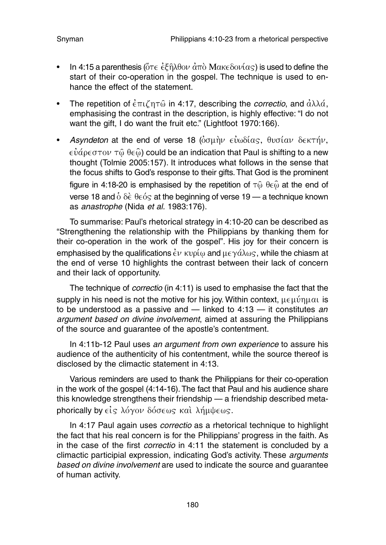- In 4:15 a parenthesis ( $\tilde{\sigma} \tau \in \tilde{\epsilon} \tilde{\epsilon} \hat{n} \lambda \theta o \nu \, d \pi \hat{o}$  Make  $\delta o \nu (\alpha \varsigma)$  is used to define the start of their co-operation in the gospel. The technique is used to enhance the effect of the statement.
- The repetition of  $\dot{\epsilon}$   $\pi \iota \tilde{\iota}$  n 4:17, describing the *correctio*, and  $\dot{\alpha} \lambda \lambda \dot{\alpha}$ . emphasising the contrast in the description, is highly effective: "I do not want the gift, I do want the fruit etc." (Lightfoot 1970:166).
- Asyndeton at the end of verse 18 ( $\delta$ σμήν εὐωδίας, θυσίαν δεκτήν,  $\epsilon \dot{v}$ άρ $\epsilon$ στον τῶ θεῶ) could be an indication that Paul is shifting to a new thought (Tolmie 2005:157). It introduces what follows in the sense that the focus shifts to God's response to their gifts. That God is the prominent figure in 4:18-20 is emphasised by the repetition of  $\tau\hat{\omega}$   $\theta \in \hat{\omega}$  at the end of verse 18 and  $\dot{\text{o}}$   $\delta \dot{\epsilon}$   $\theta \epsilon \dot{\text{o}}$  at the beginning of verse 19 — a technique known as anastrophe (Nida et al. 1983:176).

To summarise: Paul's rhetorical strategy in 4:10-20 can be described as "Strengthening the relationship with the Philippians by thanking them for their co-operation in the work of the gospel". His joy for their concern is emphasised by the qualifications  $\dot{\epsilon} \nu$  kvo  $\omega$  and  $\mu \epsilon \gamma \dot{\alpha} \lambda \omega$ s, while the chiasm at the end of verse 10 highlights the contrast between their lack of concern and their lack of opportunity.

The technique of correctio (in 4:11) is used to emphasise the fact that the supply in his need is not the motive for his joy. Within context,  $\mu \in \mathfrak{u}$  in all is to be understood as a passive and  $-$  linked to 4:13  $-$  it constitutes an argument based on divine involvement, aimed at assuring the Philippians of the source and guarantee of the apostle's contentment.

In 4:11b-12 Paul uses an argument from own experience to assure his audience of the authenticity of his contentment, while the source thereof is disclosed by the climactic statement in 4:13.

Various reminders are used to thank the Philippians for their co-operation in the work of the gospel (4:14-16). The fact that Paul and his audience share this knowledge strengthens their friendship — a friendship described metaphorically by  $\epsilon$ *is* λόγον δόσεως και λήμψεως.

In 4:17 Paul again uses correctio as a rhetorical technique to highlight the fact that his real concern is for the Philippians' progress in the faith. As in the case of the first correctio in 4:11 the statement is concluded by a climactic participial expression, indicating God's activity. These arguments based on divine involvement are used to indicate the source and guarantee of human activity.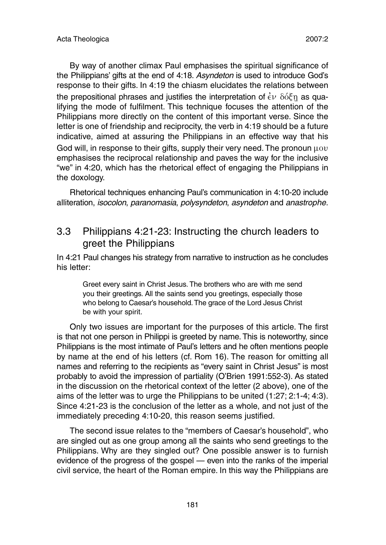By way of another climax Paul emphasises the spiritual significance of the Philippians' gifts at the end of 4:18. Asyndeton is used to introduce God's response to their gifts. In 4:19 the chiasm elucidates the relations between the prepositional phrases and justifies the interpretation of  $\dot{\epsilon}v$   $\delta\dot{\delta}\xi$ n as qualifying the mode of fulfilment. This technique focuses the attention of the Philippians more directly on the content of this important verse. Since the letter is one of friendship and reciprocity, the verb in 4:19 should be a future indicative, aimed at assuring the Philippians in an effective way that his God will, in response to their gifts, supply their very need. The pronoun  $\mu \text{ov}$ emphasises the reciprocal relationship and paves the way for the inclusive "we" in 4:20, which has the rhetorical effect of engaging the Philippians in the doxology.

Rhetorical techniques enhancing Paul's communication in 4:10-20 include alliteration, isocolon, paranomasia, polysyndeton, asyndeton and anastrophe.

### 3.3 Philippians 4:21-23: Instructing the church leaders to greet the Philippians

In 4:21 Paul changes his strategy from narrative to instruction as he concludes his letter:

Greet every saint in Christ Jesus. The brothers who are with me send you their greetings. All the saints send you greetings, especially those who belong to Caesar's household.The grace of the Lord Jesus Christ be with your spirit.

Only two issues are important for the purposes of this article. The first is that not one person in Philippi is greeted by name. This is noteworthy, since Philippians is the most intimate of Paul's letters and he often mentions people by name at the end of his letters (cf. Rom 16). The reason for omitting all names and referring to the recipients as "every saint in Christ Jesus" is most probably to avoid the impression of partiality (O'Brien 1991:552-3). As stated in the discussion on the rhetorical context of the letter (2 above), one of the aims of the letter was to urge the Philippians to be united (1:27; 2:1-4; 4:3). Since 4:21-23 is the conclusion of the letter as a whole, and not just of the immediately preceding 4:10-20, this reason seems justified.

The second issue relates to the "members of Caesar's household", who are singled out as one group among all the saints who send greetings to the Philippians. Why are they singled out? One possible answer is to furnish evidence of the progress of the gospel — even into the ranks of the imperial civil service, the heart of the Roman empire. In this way the Philippians are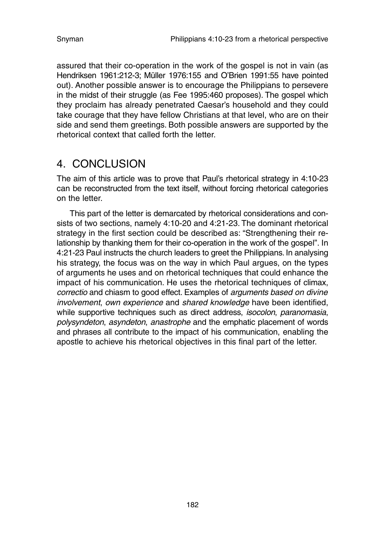assured that their co-operation in the work of the gospel is not in vain (as Hendriksen 1961:212-3; Müller 1976:155 and O'Brien 1991:55 have pointed out). Another possible answer is to encourage the Philippians to persevere in the midst of their struggle (as Fee 1995:460 proposes). The gospel which they proclaim has already penetrated Caesar's household and they could take courage that they have fellow Christians at that level, who are on their side and send them greetings. Both possible answers are supported by the rhetorical context that called forth the letter.

### 4. CONCLUSION

The aim of this article was to prove that Paul's rhetorical strategy in 4:10-23 can be reconstructed from the text itself, without forcing rhetorical categories on the letter.

This part of the letter is demarcated by rhetorical considerations and consists of two sections, namely 4:10-20 and 4:21-23. The dominant rhetorical strategy in the first section could be described as: "Strengthening their relationship by thanking them for their co-operation in the work of the gospel". In 4:21-23 Paul instructs the church leaders to greet the Philippians. In analysing his strategy, the focus was on the way in which Paul argues, on the types of arguments he uses and on rhetorical techniques that could enhance the impact of his communication. He uses the rhetorical techniques of climax, correctio and chiasm to good effect. Examples of arguments based on divine involvement, own experience and shared knowledge have been identified, while supportive techniques such as direct address, *isocolon, paranomasia*, polysyndeton, asyndeton, anastrophe and the emphatic placement of words and phrases all contribute to the impact of his communication, enabling the apostle to achieve his rhetorical objectives in this final part of the letter.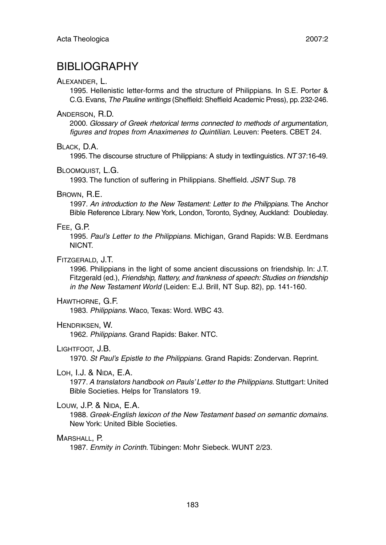### BIBLIOGRAPHY

#### ALEXANDER, L.

1995. Hellenistic letter-forms and the structure of Philippians. In S.E. Porter & C.G. Evans, The Pauline writings (Sheffield: Sheffield Academic Press), pp. 232-246.

#### ANDERSON, R.D.

2000. Glossary of Greek rhetorical terms connected to methods of argumentation, figures and tropes from Anaximenes to Quintilian. Leuven: Peeters. CBET 24.

#### BLACK, D.A.

1995. The discourse structure of Philippians: A study in textlinguistics. NT 37:16-49.

#### BLOOMQUIST, L.G.

1993. The function of suffering in Philippians. Sheffield. JSNT Sup. 78

#### BROWN, R.E.

1997. An introduction to the New Testament: Letter to the Philippians. The Anchor Bible Reference Library. New York, London, Toronto, Sydney, Auckland: Doubleday.

#### FEE, G.P.

1995. Paul's Letter to the Philippians. Michigan, Grand Rapids: W.B. Eerdmans NICNT.

#### FITZGERALD, J.T.

1996. Philippians in the light of some ancient discussions on friendship. In: J.T. Fitzgerald (ed.), Friendship, flattery, and frankness of speech: Studies on friendship in the New Testament World (Leiden: E.J. Brill, NT Sup. 82), pp. 141-160.

#### HAWTHORNE, G.F.

1983. Philippians. Waco, Texas: Word. WBC 43.

#### HENDRIKSEN, W.

1962. Philippians. Grand Rapids: Baker. NTC.

#### LIGHTFOOT, J.B.

1970. St Paul's Epistle to the Philippians. Grand Rapids: Zondervan. Reprint.

#### LOH, I.J. & NIDA, E.A.

1977. A translators handbook on Pauls' Letter to the Philippians. Stuttgart: United Bible Societies. Helps for Translators 19.

#### LOUW, J.P. & NIDA, E.A.

1988. Greek-English lexicon of the New Testament based on semantic domains. New York: United Bible Societies.

#### MARSHALL, P.

1987. Enmity in Corinth. Tübingen: Mohr Siebeck. WUNT 2/23.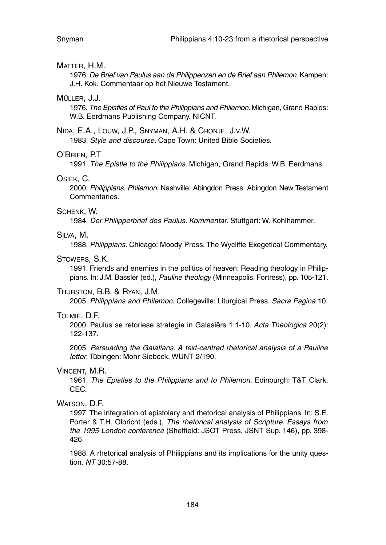#### MATTER, H.M.

1976. De Brief van Paulus aan de Philippenzen en de Brief aan Philemon. Kampen: J.H. Kok. Commentaar op het Nieuwe Testament.

#### MÜLLER, J.J.

1976. The Epistles of Paul to the Philippians and Philemon. Michigan, Grand Rapids: W.B. Eerdmans Publishing Company. NICNT.

#### NIDA, E.A., LOUW, J.P., SNYMAN, A.H. & CRONJE, J.V.W.

1983. Style and discourse. Cape Town: United Bible Societies.

#### O'BRIEN, P.T

1991. The Epistle to the Philippians. Michigan, Grand Rapids: W.B. Eerdmans.

#### OSIEK, C.

2000. Philippians. Philemon. Nashville: Abingdon Press. Abingdon New Testament Commentaries.

#### SCHENK, W.

1984. Der Philipperbrief des Paulus. Kommentar. Stuttgart: W. Kohlhammer.

#### SILVA, M.

1988. Philippians. Chicago: Moody Press. The Wycliffe Exegetical Commentary.

#### STOWERS, S.K.

1991. Friends and enemies in the politics of heaven: Reading theology in Philippians. In: J.M. Bassler (ed.), Pauline theology (Minneapolis: Fortress), pp. 105-121.

#### THURSTON, B.B. & RYAN, J.M.

2005. Philippians and Philemon. Collegeville: Liturgical Press. Sacra Pagina 10.

#### TOLMIE, D.F.

2000. Paulus se retoriese strategie in Galasiërs 1:1-10. Acta Theologica 20(2): 122-137.

2005. Persuading the Galatians. A text-centred rhetorical analysis of a Pauline letter. Tübingen: Mohr Siebeck. WUNT 2/190.

#### VINCENT, M.R.

1961. The Epistles to the Philippians and to Philemon. Edinburgh: T&T Clark. CEC.

#### WATSON, D.F.

1997. The integration of epistolary and rhetorical analysis of Philippians. In: S.E. Porter & T.H. Olbricht (eds.), The rhetorical analysis of Scripture. Essays from the 1995 London conference (Sheffield: JSOT Press, JSNT Sup. 146), pp. 398- 426.

1988. A rhetorical analysis of Philippians and its implications for the unity question. NT 30:57-88.